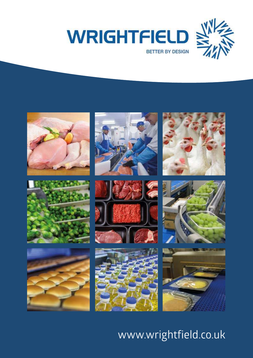



















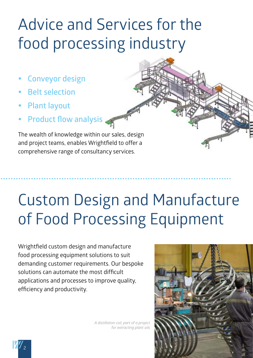# Advice and Services for the food processing industry

- **Conveyor design**
- **Belt selection**
- **Plant layout**
- **Product flow analysis**

The wealth of knowledge within our sales, design and project teams, enables Wrightfield to offer a comprehensive range of consultancy services.

#### Custom Design and Manufacture of Food Processing Equipment

Wrightfield custom design and manufacture food processing equipment solutions to suit demanding customer requirements. Our bespoke solutions can automate the most difficult applications and processes to improve quality, efficiency and productivity.

> *A distillation coil, part of a project for extracting plant oils*



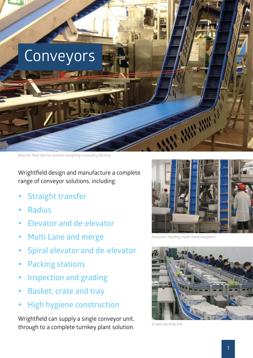

*Batcher feed line for portion weighing in poultry factory*

Wrightfield design and manufacture a complete range of conveyor solutions, including:

- **Straight transfer**
- y **Radius**
- y **Elevator and de-elevator**
- **Multi Lane and merge**
- **Spiral elevator and de-elevator**
- **Packing stations**
- **Inspection and grading**
- y **Basket, crate and tray**
- **High hygiene construction**

Wrightfield can supply a single conveyor unit, through to a complete turnkey plant solution.



*Elevators feeding multi-head weighers*



*Grape packing line*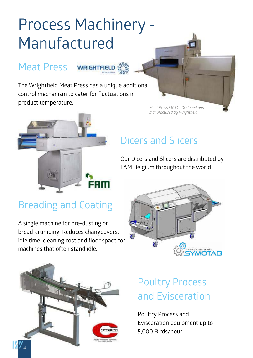### Process Machinery - Manufactured

#### Meat Press **wrightField** & S



The Wrightfield Meat Press has a unique additional control mechanism to cater for fluctuations in product temperature.





#### Dicers and Slicers

Our Dicers and Slicers are distributed by FAM Belgium throughout the world.

#### Breading and Coating

A single machine for pre-dusting or bread-crumbing. Reduces changeovers, idle time, cleaning cost and floor space for machines that often stand idle.





#### Poultry Process and Evisceration

Poultry Process and Evisceration equipment up to 5,000 Birds/hour.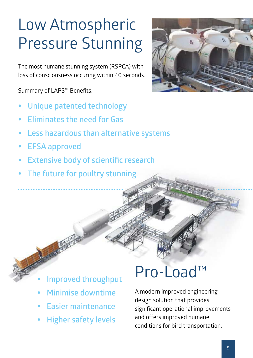# Low Atmospheric Pressure Stunning

The most humane stunning system (RSPCA) with loss of consciousness occuring within 40 seconds.

Summary of LAPS™ Benefits:

- y **Unique patented technology**
- **Eliminates the need for Gas**
- y **Less hazardous than alternative systems**
- **EFSA approved**
- **Extensive body of scientific research**
- **The future for poultry stunning**

- **Improved throughput**
- **Minimise downtime**
- y **Easier maintenance**
- **Higher safety levels**

#### Pro-Load™

A modern improved engineering design solution that provides significant operational improvements and offers improved humane conditions for bird transportation.

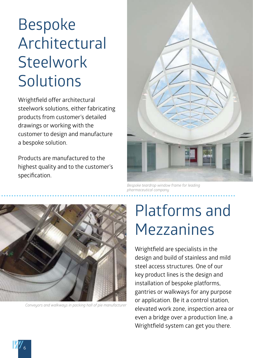# Bespoke Architectural **Steelwork Solutions**

Wrightfield offer architectural steelwork solutions, either fabricating products from customer's detailed drawings or working with the customer to design and manufacture a bespoke solution.

Products are manufactured to the highest quality and to the customer's specification.



*Bespoke teardrop window frame for leading pharmaceutical company*



*Conveyors and walkways in packing hall of pie manufacturer*

# Platforms and Mezzanines

Wrightfield are specialists in the design and build of stainless and mild steel access structures. One of our key product lines is the design and installation of bespoke platforms, gantries or walkways for any purpose or application. Be it a control station, elevated work zone, inspection area or even a bridge over a production line, a Wrightfield system can get you there.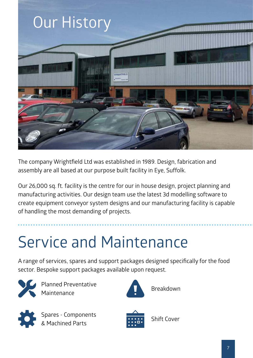Our History



The company Wrightfield Ltd was established in 1989. Design, fabrication and assembly are all based at our purpose built facility in Eye, Suffolk.

Our 26,000 sq. ft. facility is the centre for our in house design, project planning and manufacturing activities. Our design team use the latest 3d modelling software to create equipment conveyor system designs and our manufacturing facility is capable of handling the most demanding of projects.

# Service and Maintenance

A range of services, spares and support packages designed specifically for the food sector. Bespoke support packages available upon request.



Planned Preventative Maintenance Maintenance



Spares - Components<br> **Cover Spares - Components**<br> **Cover Spares - Cover Spares - Cover Spares - Cover** & Machined Parts